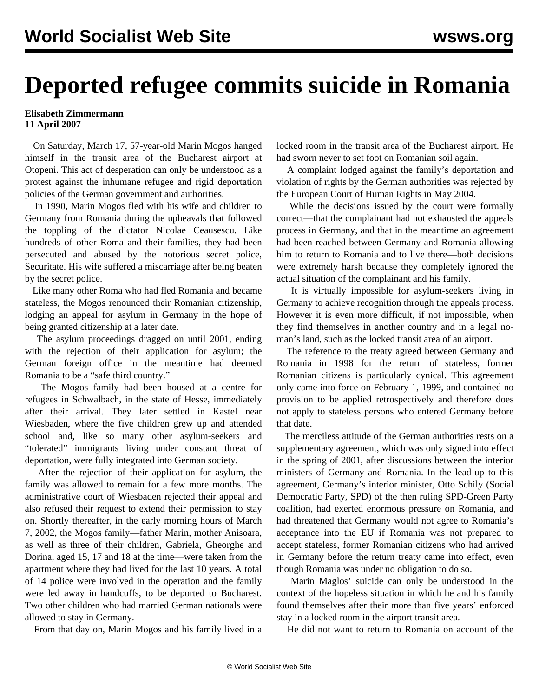## **Deported refugee commits suicide in Romania**

## **Elisabeth Zimmermann 11 April 2007**

 On Saturday, March 17, 57-year-old Marin Mogos hanged himself in the transit area of the Bucharest airport at Otopeni. This act of desperation can only be understood as a protest against the inhumane refugee and rigid deportation policies of the German government and authorities.

 In 1990, Marin Mogos fled with his wife and children to Germany from Romania during the upheavals that followed the toppling of the dictator Nicolae Ceausescu. Like hundreds of other Roma and their families, they had been persecuted and abused by the notorious secret police, Securitate. His wife suffered a miscarriage after being beaten by the secret police.

 Like many other Roma who had fled Romania and became stateless, the Mogos renounced their Romanian citizenship, lodging an appeal for asylum in Germany in the hope of being granted citizenship at a later date.

 The asylum proceedings dragged on until 2001, ending with the rejection of their application for asylum; the German foreign office in the meantime had deemed Romania to be a "safe third country."

 The Mogos family had been housed at a centre for refugees in Schwalbach, in the state of Hesse, immediately after their arrival. They later settled in Kastel near Wiesbaden, where the five children grew up and attended school and, like so many other asylum-seekers and "tolerated" immigrants living under constant threat of deportation, were fully integrated into German society.

 After the rejection of their application for asylum, the family was allowed to remain for a few more months. The administrative court of Wiesbaden rejected their appeal and also refused their request to extend their permission to stay on. Shortly thereafter, in the early morning hours of March 7, 2002, the Mogos family—father Marin, mother Anisoara, as well as three of their children, Gabriela, Gheorghe and Dorina, aged 15, 17 and 18 at the time—were taken from the apartment where they had lived for the last 10 years. A total of 14 police were involved in the operation and the family were led away in handcuffs, to be deported to Bucharest. Two other children who had married German nationals were allowed to stay in Germany.

From that day on, Marin Mogos and his family lived in a

locked room in the transit area of the Bucharest airport. He had sworn never to set foot on Romanian soil again.

 A complaint lodged against the family's deportation and violation of rights by the German authorities was rejected by the European Court of Human Rights in May 2004.

 While the decisions issued by the court were formally correct—that the complainant had not exhausted the appeals process in Germany, and that in the meantime an agreement had been reached between Germany and Romania allowing him to return to Romania and to live there—both decisions were extremely harsh because they completely ignored the actual situation of the complainant and his family.

 It is virtually impossible for asylum-seekers living in Germany to achieve recognition through the appeals process. However it is even more difficult, if not impossible, when they find themselves in another country and in a legal noman's land, such as the locked transit area of an airport.

 The reference to the treaty agreed between Germany and Romania in 1998 for the return of stateless, former Romanian citizens is particularly cynical. This agreement only came into force on February 1, 1999, and contained no provision to be applied retrospectively and therefore does not apply to stateless persons who entered Germany before that date.

 The merciless attitude of the German authorities rests on a supplementary agreement, which was only signed into effect in the spring of 2001, after discussions between the interior ministers of Germany and Romania. In the lead-up to this agreement, Germany's interior minister, Otto Schily (Social Democratic Party, SPD) of the then ruling SPD-Green Party coalition, had exerted enormous pressure on Romania, and had threatened that Germany would not agree to Romania's acceptance into the EU if Romania was not prepared to accept stateless, former Romanian citizens who had arrived in Germany before the return treaty came into effect, even though Romania was under no obligation to do so.

 Marin Maglos' suicide can only be understood in the context of the hopeless situation in which he and his family found themselves after their more than five years' enforced stay in a locked room in the airport transit area.

He did not want to return to Romania on account of the